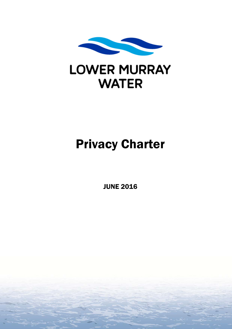

# **LOWER MURRAY WATER**

# Privacy Charter

JUNE 2016

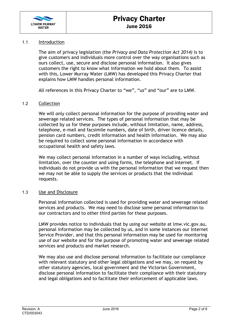

# 1.1 Introduction

The aim of privacy legislation (the *Privacy and Data Protection Act 2014)* is to give customers and individuals more control over the way organisations such as ours collect, use, secure and disclose personal information. It also gives customers the right to know what information we hold about them. To assist with this, Lower Murray Water (LMW) has developed this Privacy Charter that explains how LMW handles personal information.

All references in this Privacy Charter to "we", "us" and "our" are to LMW.

# 1.2 Collection

We will only collect personal information for the purpose of providing water and sewerage related services. The types of personal information that may be collected by us for these purposes include, without limitation, name, address, telephone, e-mail and facsimile numbers, date of birth, driver licence details, pension card numbers, credit information and health information. We may also be required to collect some personal information in accordance with occupational health and safety laws.

We may collect personal information in a number of ways including, without limitation, over the counter and using forms, the telephone and internet. If individuals do not provide us with the personal information that we request then we may not be able to supply the services or products that the individual requests.

# 1.3 Use and Disclosure

Personal information collected is used for providing water and sewerage related services and products. We may need to disclose some personal information to our contractors and to other third parties for these purposes.

LMW provides notice to individuals that by using our website at lmw.vic.gov.au, personal information may be collected by us, and in some instances our Internet Service Provider, and that this personal information may be used for monitoring use of our website and for the purpose of promoting water and sewerage related services and products and market research.

We may also use and disclose personal information to facilitate our compliance with relevant statutory and other legal obligations and we may, on request by other statutory agencies, local government and the Victorian Government, disclose personal information to facilitate their compliance with their statutory and legal obligations and to facilitate their enforcement of applicable laws.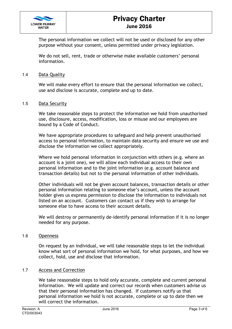

# Privacy Charter June 2016

The personal information we collect will not be used or disclosed for any other purpose without your consent, unless permitted under privacy legislation.

We do not sell, rent, trade or otherwise make available customers' personal information.

# 1.4 Data Quality

We will make every effort to ensure that the personal information we collect, use and disclose is accurate, complete and up to date.

# 1.5 Data Security

We take reasonable steps to protect the information we hold from unauthorised use, disclosure, access, modification, loss or misuse and our employees are bound by a Code of Conduct.

We have appropriate procedures to safeguard and help prevent unauthorised access to personal information, to maintain data security and ensure we use and disclose the information we collect appropriately.

Where we hold personal information in conjunction with others (e.g. where an account is a joint one), we will allow each individual access to their own personal information and to the joint information (e.g. account balance and transaction details) but not to the personal information of other individuals.

Other individuals will not be given account balances, transaction details or other personal information relating to someone else's account, unless the account holder gives us express permission to disclose the information to individuals not listed on an account. Customers can contact us if they wish to arrange for someone else to have access to their account details.

We will destroy or permanently de-identify personal information if it is no longer needed for any purpose.

# 1.6 Openness

On request by an individual, we will take reasonable steps to let the individual know what sort of personal information we hold, for what purposes, and how we collect, hold, use and disclose that information.

# 1.7 Access and Correction

We take reasonable steps to hold only accurate, complete and current personal information. We will update and correct our records when customers advise us that their personal information has changed. If customers notify us that personal information we hold is not accurate, complete or up to date then we will correct the information.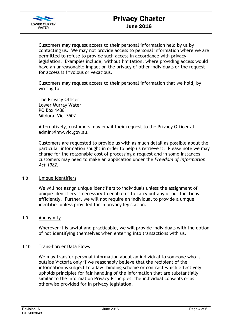

Customers may request access to their personal information held by us by contacting us. We may not provide access to personal information where we are permitted to refuse to provide such access in accordance with privacy legislation. Examples include, without limitation, where providing access would have an unreasonable impact on the privacy of other individuals or the request for access is frivolous or vexatious.

Customers may request access to their personal information that we hold, by writing to:

The Privacy Officer Lower Murray Water PO Box 1438 Mildura Vic 3502

Alternatively, customers may email their request to the Privacy Officer at admin@lmw.vic.gov.au.

Customers are requested to provide us with as much detail as possible about the particular information sought in order to help us retrieve it. Please note we may charge for the reasonable cost of processing a request and in some instances customers may need to make an application under the *Freedom of Information Act 1982*.

# 1.8 Unique Identifiers

We will not assign unique identifiers to individuals unless the assignment of unique identifiers is necessary to enable us to carry out any of our functions efficiently. Further, we will not require an individual to provide a unique identifier unless provided for in privacy legislation.

# 1.9 Anonymity

Wherever it is lawful and practicable, we will provide individuals with the option of not identifying themselves when entering into transactions with us.

# 1.10 Trans-border Data Flows

We may transfer personal information about an individual to someone who is outside Victoria only if we reasonably believe that the recipient of the information is subject to a law, binding scheme or contract which effectively upholds principles for fair handling of the information that are substantially similar to the Information Privacy Principles, the individual consents or as otherwise provided for in privacy legislation.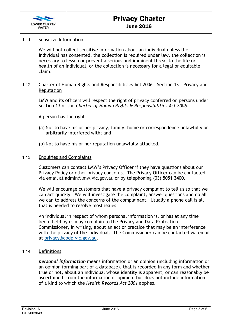

# 1.11 Sensitive Information

We will not collect sensitive information about an individual unless the individual has consented, the collection is required under law, the collection is necessary to lessen or prevent a serious and imminent threat to the life or health of an individual, or the collection is necessary for a legal or equitable claim.

# 1.12 Charter of Human Rights and Responsibilities Act 2006 – Section 13 – Privacy and Reputation

LMW and its officers will respect the right of privacy conferred on persons under Section 13 of the *Charter of Human Rights & Responsibilities Act 2006*.

A person has the right –

- (a) Not to have his or her privacy, family, home or correspondence unlawfully or arbitrarily interfered with; and
- (b) Not to have his or her reputation unlawfully attacked.

# 1.13 Enquiries and Complaints

Customers can contact LMW's Privacy Officer if they have questions about our Privacy Policy or other privacy concerns. The Privacy Officer can be contacted via email at admin@lmw.vic.gov.au or by telephoning (03) 5051 3400.

We will encourage customers that have a privacy complaint to tell us so that we can act quickly. We will investigate the complaint, answer questions and do all we can to address the concerns of the complainant. Usually a phone call is all that is needed to resolve most issues.

An individual in respect of whom personal information is, or has at any time been, held by us may complain to the Privacy and Data Protection Commissioner, in writing, about an act or practice that may be an interference with the privacy of the individual. The Commissioner can be contacted via email at privacy@cpdp.vic.gov.au.

# 1.14 Definitions

*personal information* means information or an opinion (including information or an opinion forming part of a database), that is recorded in any form and whether true or not, about an individual whose identity is apparent, or can reasonably be ascertained, from the information or opinion, but does not include information of a kind to which the *Health Records Act 2001* applies.